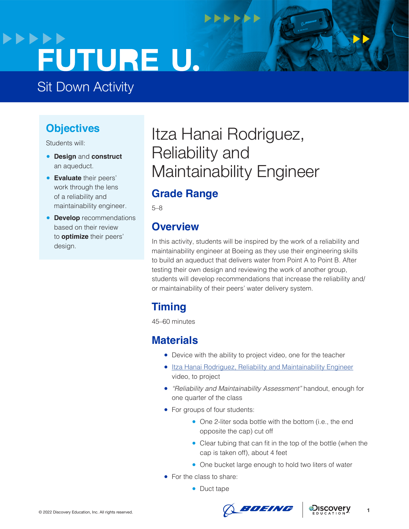# **>>>>>>** FUTURE U.

## Sit Down Activity

#### **Objectives**

Students will:

- **Design** and **construct**  an aqueduct.
- **Evaluate** their peers' work through the lens of a reliability and maintainability engineer.
- **Develop** recommendations based on their review to **optimize** their peers' design.

# Itza Hanai Rodriguez, Reliability and Maintainability Engineer

**NNNNNN** 

#### **Grade Range**

5–8

#### **Overview**

In this activity, students will be inspired by the work of a reliability and maintainability engineer at Boeing as they use their engineering skills to build an aqueduct that delivers water from Point A to Point B. After testing their own design and reviewing the work of another group, students will develop recommendations that increase the reliability and/ or maintainability of their peers' water delivery system.

### **Timing**

45–60 minutes

#### **Materials**

- Device with the ability to project video, one for the teacher
- [Itza Hanai Rodriguez, Reliability and Maintainability Engineer](https://www.boeingfutureu.com/virtual-experiences/STEM-career-videos/itza-reliability) video, to project
- *"Reliability and Maintainability Assessment"* handout, enough for one quarter of the class
- For groups of four students:
	- One 2-liter soda bottle with the bottom (i.e., the end opposite the cap) cut off
	- Clear tubing that can fit in the top of the bottle (when the cap is taken off), about 4 feet
	- One bucket large enough to hold two liters of water
- For the class to share:
	- Duct tape





**1**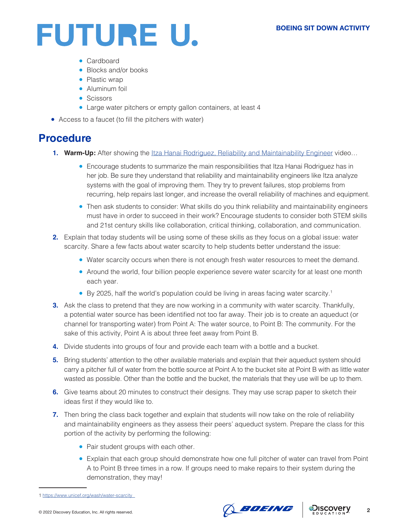

- Cardboard
- Blocks and/or books
- Plastic wrap
- Aluminum foil
- Scissors
- Large water pitchers or empty gallon containers, at least 4
- Access to a faucet (to fill the pitchers with water)

#### **Procedure**

- **1. Warm-Up:** After showing the [Itza Hanai Rodriguez, Reliability and Maintainability Engineer](https://www.boeingfutureu.com/virtual-experiences/STEM-career-videos/itza-reliability) video...
	- Encourage students to summarize the main responsibilities that Itza Hanai Rodriguez has in her job. Be sure they understand that reliability and maintainability engineers like Itza analyze systems with the goal of improving them. They try to prevent failures, stop problems from recurring, help repairs last longer, and increase the overall reliability of machines and equipment.
	- Then ask students to consider: What skills do you think reliability and maintainability engineers must have in order to succeed in their work? Encourage students to consider both STEM skills and 21st century skills like collaboration, critical thinking, collaboration, and communication.
- **2.** Explain that today students will be using some of these skills as they focus on a global issue: water scarcity. Share a few facts about water scarcity to help students better understand the issue:
	- Water scarcity occurs when there is not enough fresh water resources to meet the demand.
	- Around the world, four billion people experience severe water scarcity for at least one month each year.
	- By 2025, half the world's population could be living in areas facing water scarcity.<sup>1</sup>
- **3.** Ask the class to pretend that they are now working in a community with water scarcity. Thankfully, a potential water source has been identified not too far away. Their job is to create an aqueduct (or channel for transporting water) from Point A: The water source, to Point B: The community. For the sake of this activity, Point A is about three feet away from Point B.
- **4.** Divide students into groups of four and provide each team with a bottle and a bucket.
- **5.** Bring students' attention to the other available materials and explain that their aqueduct system should carry a pitcher full of water from the bottle source at Point A to the bucket site at Point B with as little water wasted as possible. Other than the bottle and the bucket, the materials that they use will be up to them.
- **6.** Give teams about 20 minutes to construct their designs. They may use scrap paper to sketch their ideas first if they would like to.
- **7.** Then bring the class back together and explain that students will now take on the role of reliability and maintainability engineers as they assess their peers' aqueduct system. Prepare the class for this portion of the activity by performing the following:
	- Pair student groups with each other.
	- Explain that each group should demonstrate how one full pitcher of water can travel from Point A to Point B three times in a row. If groups need to make repairs to their system during the demonstration, they may!





**2**

<sup>1</sup> [https://www.unicef.org/wash/water-scarcity](https://www.unicef.org/wash/water-scarcity )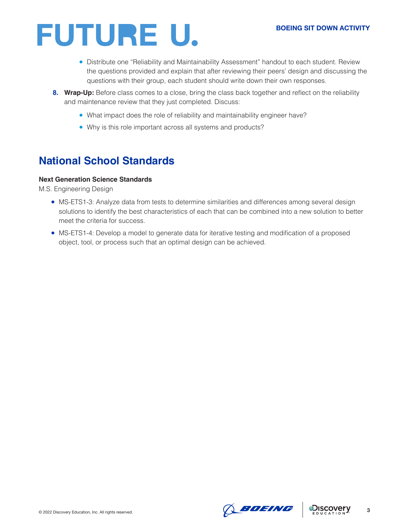

- Distribute one "Reliability and Maintainability Assessment" handout to each student. Review the questions provided and explain that after reviewing their peers' design and discussing the questions with their group, each student should write down their own responses.
- **8. Wrap-Up:** Before class comes to a close, bring the class back together and reflect on the reliability and maintenance review that they just completed. Discuss:
	- What impact does the role of reliability and maintainability engineer have?
	- Why is this role important across all systems and products?

#### **National School Standards**

#### **Next Generation Science Standards**

M.S. Engineering Design

- MS-ETS1-3: Analyze data from tests to determine similarities and differences among several design solutions to identify the best characteristics of each that can be combined into a new solution to better meet the criteria for success.
- MS-ETS1-4: Develop a model to generate data for iterative testing and modification of a proposed object, tool, or process such that an optimal design can be achieved.



**3**